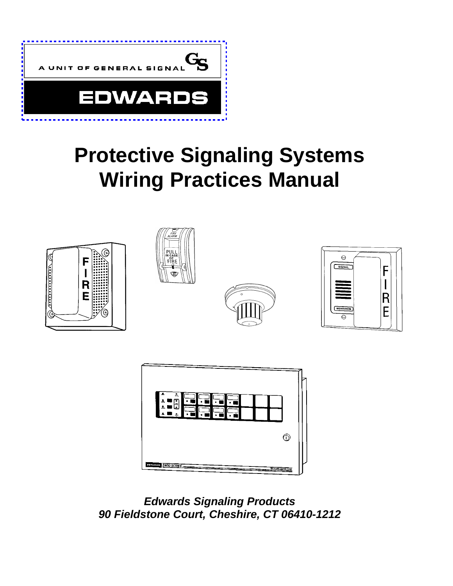

# **Protective Signaling Systems Wiring Practices Manual**





*Edwards Signaling Products 90 Fieldstone Court, Cheshire, CT 06410-1212*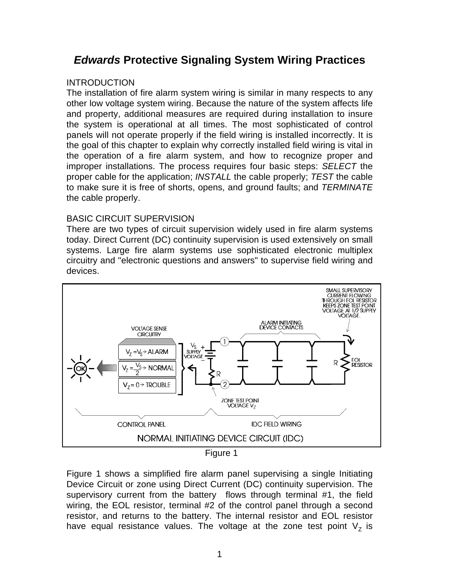## *Edwards* **Protective Signaling System Wiring Practices**

#### **INTRODUCTION**

The installation of fire alarm system wiring is similar in many respects to any other low voltage system wiring. Because the nature of the system affects life and property, additional measures are required during installation to insure the system is operational at all times. The most sophisticated of control panels will not operate properly if the field wiring is installed incorrectly. It is the goal of this chapter to explain why correctly installed field wiring is vital in the operation of a fire alarm system, and how to recognize proper and improper installations. The process requires four basic steps: *SELECT* the proper cable for the application; *INSTALL* the cable properly; *TEST* the cable to make sure it is free of shorts, opens, and ground faults; and *TERMINATE* the cable properly.

#### BASIC CIRCUIT SUPERVISION

There are two types of circuit supervision widely used in fire alarm systems today. Direct Current (DC) continuity supervision is used extensively on small systems. Large fire alarm systems use sophisticated electronic multiplex circuitry and "electronic questions and answers" to supervise field wiring and devices.



Figure 1

Figure 1 shows a simplified fire alarm panel supervising a single Initiating Device Circuit or zone using Direct Current (DC) continuity supervision. The supervisory current from the battery flows through terminal #1, the field wiring, the EOL resistor, terminal #2 of the control panel through a second resistor, and returns to the battery. The internal resistor and EOL resistor have equal resistance values. The voltage at the zone test point  $V<sub>z</sub>$  is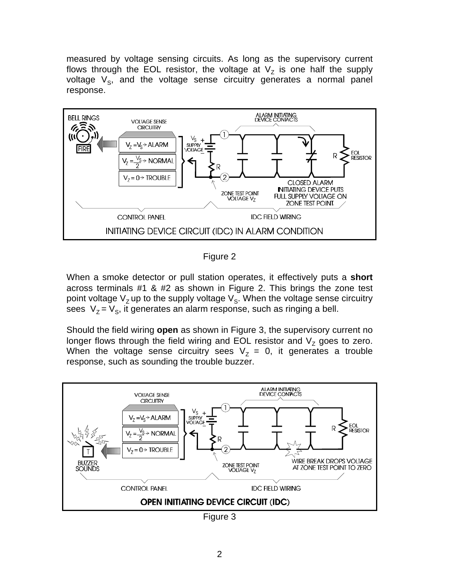measured by voltage sensing circuits. As long as the supervisory current flows through the EOL resistor, the voltage at  $\mathsf{V}_{\mathsf{Z}}$  is one half the supply voltage  $V_{\rm S}$ , and the voltage sense circuitry generates a normal panel response.



Figure 2

When a smoke detector or pull station operates, it effectively puts a **short** across terminals #1 & #2 as shown in Figure 2. This brings the zone test point voltage V<sub>z</sub> up to the supply voltage V<sub>s</sub>. When the voltage sense circuitry sees  $\ V_{Z}$  =  $V_{S}$ , it generates an alarm response, such as ringing a bell.

Should the field wiring **open** as shown in Figure 3, the supervisory current no longer flows through the field wiring and EOL resistor and  $\mathsf{V}_\mathsf{Z}$  goes to zero. When the voltage sense circuitry sees  $V_z = 0$ , it generates a trouble response, such as sounding the trouble buzzer.



Figure 3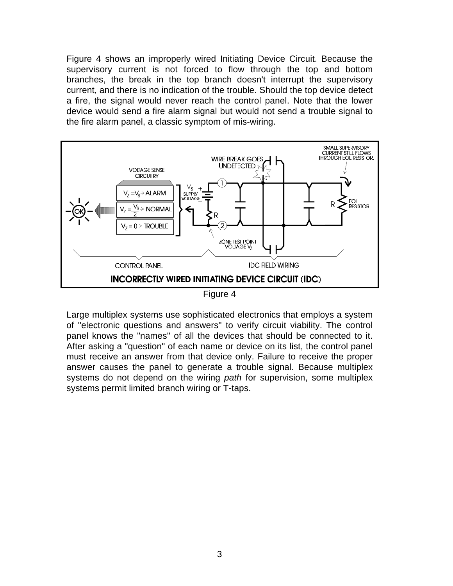Figure 4 shows an improperly wired Initiating Device Circuit. Because the supervisory current is not forced to flow through the top and bottom branches, the break in the top branch doesn't interrupt the supervisory current, and there is no indication of the trouble. Should the top device detect a fire, the signal would never reach the control panel. Note that the lower device would send a fire alarm signal but would not send a trouble signal to the fire alarm panel, a classic symptom of mis-wiring.



Figure 4

Large multiplex systems use sophisticated electronics that employs a system of "electronic questions and answers" to verify circuit viability. The control panel knows the "names" of all the devices that should be connected to it. After asking a "question" of each name or device on its list, the control panel must receive an answer from that device only. Failure to receive the proper answer causes the panel to generate a trouble signal. Because multiplex systems do not depend on the wiring *path* for supervision, some multiplex systems permit limited branch wiring or T-taps.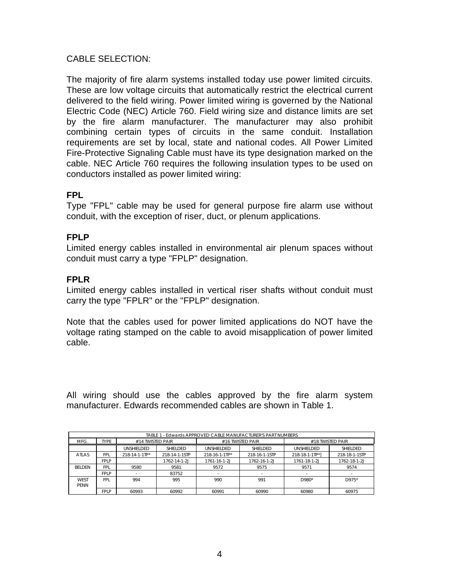#### CABLE SELECTION:

The majority of fire alarm systems installed today use power limited circuits. These are low voltage circuits that automatically restrict the electrical current delivered to the field wiring. Power limited wiring is governed by the National Electric Code (NEC) Article 760. Field wiring size and distance limits are set by the fire alarm manufacturer. The manufacturer may also prohibit combining certain types of circuits in the same conduit. Installation requirements are set by local, state and national codes. All Power Limited Fire-Protective Signaling Cable must have its type designation marked on the cable. NEC Article 760 requires the following insulation types to be used on conductors installed as power limited wiring:

#### **FPL**

Type "FPL" cable may be used for general purpose fire alarm use without conduit, with the exception of riser, duct, or plenum applications.

#### **FPLP**

Limited energy cables installed in environmental air plenum spaces without conduit must carry a type "FPLP" designation.

#### **FPLR**

Limited energy cables installed in vertical riser shafts without conduit must carry the type "FPLR" or the "FPLP" designation.

Note that the cables used for power limited applications do NOT have the voltage rating stamped on the cable to avoid misapplication of power limited cable.

All wiring should use the cables approved by the fire alarm system manufacturer. Edwards recommended cables are shown in Table 1.

| TABLE 1 - Edwards APPROVED CABLE MANUFACTURER'S PART NUMBERS |             |                  |               |               |                  |                  |               |  |  |  |
|--------------------------------------------------------------|-------------|------------------|---------------|---------------|------------------|------------------|---------------|--|--|--|
| MFG.                                                         | <b>TYPF</b> | #14 TWISTED PAIR |               |               | #16 TWISTED PAIR | #18 TWISTED PAIR |               |  |  |  |
|                                                              |             | UNSHIELDED       | SHIFI DED     | UNSHIELDED    | SHIFI DFD        | UNSHIELDED       | SHIELDED      |  |  |  |
| ATI AS                                                       | FPI.        | 218-14-1-1TP*    | 218-14-1-1STP | 218-16-1-1TP* | 218-16-1-1STP    | 218-18-1-1TP*1   | 218-18-1-1STP |  |  |  |
|                                                              | FPI P       |                  | 1762-14-1-2J  | 1761-16-1-2J  | 1762-16-1-2J     | 1761-18-1-2J     | 1762-18-1-2J  |  |  |  |
| <b>BELDEN</b>                                                | <b>FPI</b>  | 9580             | 9581          | 9572          | 9575             | 9571             | 9574          |  |  |  |
|                                                              | FPI P       |                  | 83752         |               |                  |                  |               |  |  |  |
| <b>WFST</b>                                                  | <b>FPI</b>  | 994              | 995           | 990           | 991              | D980*            | $D975*$       |  |  |  |
| <b>PFNN</b>                                                  |             |                  |               |               |                  |                  |               |  |  |  |
|                                                              | <b>FPLP</b> | 60993            | 60992         | 60991         | 60990            | 60980            | 60975         |  |  |  |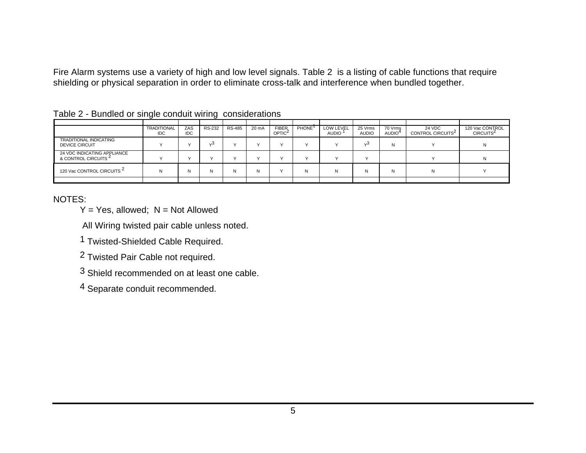Fire Alarm systems use a variety of high and low level signals. Table 2 is a listing of cable functions that require shielding or physical separation in order to eliminate cross-talk and interference when bundled together.

|                                                                |                                  |                   | . .           |               |       |                                    |                    |                           |                         |                         |                                         |                                          |
|----------------------------------------------------------------|----------------------------------|-------------------|---------------|---------------|-------|------------------------------------|--------------------|---------------------------|-------------------------|-------------------------|-----------------------------------------|------------------------------------------|
|                                                                |                                  |                   |               |               |       |                                    |                    |                           |                         |                         |                                         |                                          |
|                                                                | <b>TRADITIONAL</b><br><b>IDC</b> | ZAS<br><b>IDC</b> | <b>RS-232</b> | <b>RS-485</b> | 20 mA | <b>FIBER</b><br>OPTIC <sup>2</sup> | PHONE <sup>'</sup> | LOW LEVEL<br><b>AUDIO</b> | 25 Vrms<br><b>AUDIO</b> | 70 Vrms<br><b>AUDIO</b> | 24 VDC<br>CONTROL CIRCUITS <sup>2</sup> | 120 Vac CONTROL<br>CIRCUITS <sup>2</sup> |
|                                                                |                                  |                   |               |               |       |                                    |                    |                           |                         |                         |                                         |                                          |
| <b>TRADITIONAL INDICATING</b><br><b>DEVICE CIRCUIT</b>         |                                  |                   | د،            |               |       |                                    | $\lambda$          |                           | $\sim$                  | N                       |                                         |                                          |
| 24 VDC INDICATING APPLIANCE<br>& CONTROL CIRCUITS <sup>2</sup> |                                  |                   |               |               |       |                                    | $\lambda$          |                           |                         |                         |                                         |                                          |
| 120 Vac CONTROL CIRCUITS <sup>2</sup>                          | N                                | N                 | N             | N             |       |                                    | N                  | N                         | N                       | N                       | N                                       |                                          |
|                                                                |                                  |                   |               |               |       |                                    |                    |                           |                         |                         |                                         |                                          |

|  |  | Table 2 - Bundled or single conduit wiring considerations |
|--|--|-----------------------------------------------------------|
|  |  |                                                           |

NOTES:

 $Y = Yes$ , allowed;  $N = Not$  Allowed

All Wiring twisted pair cable unless noted.

1 Twisted-Shielded Cable Required.

2 Twisted Pair Cable not required.

3 Shield recommended on at least one cable.

4 Separate conduit recommended.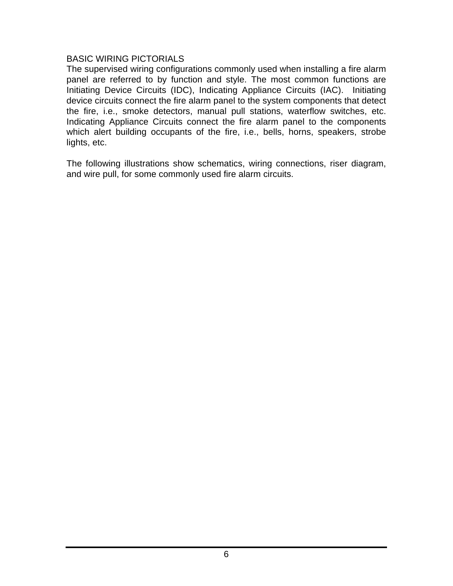#### BASIC WIRING PICTORIALS

The supervised wiring configurations commonly used when installing a fire alarm panel are referred to by function and style. The most common functions are Initiating Device Circuits (IDC), Indicating Appliance Circuits (IAC). Initiating device circuits connect the fire alarm panel to the system components that detect the fire, i.e., smoke detectors, manual pull stations, waterflow switches, etc. Indicating Appliance Circuits connect the fire alarm panel to the components which alert building occupants of the fire, i.e., bells, horns, speakers, strobe lights, etc.

The following illustrations show schematics, wiring connections, riser diagram, and wire pull, for some commonly used fire alarm circuits.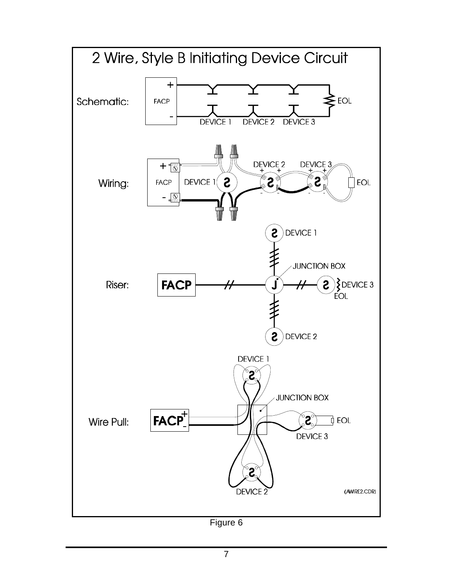

Figure 6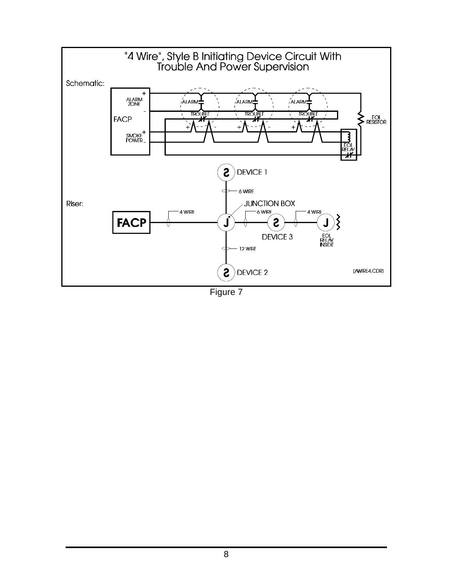

Figure 7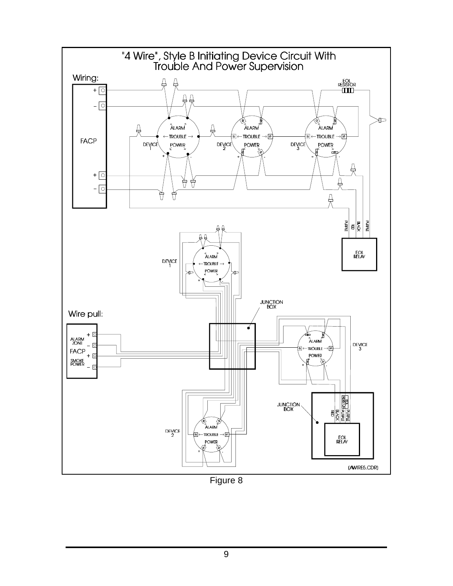

Figure 8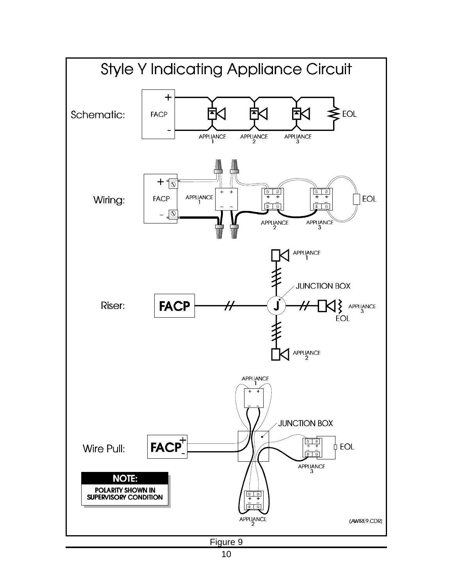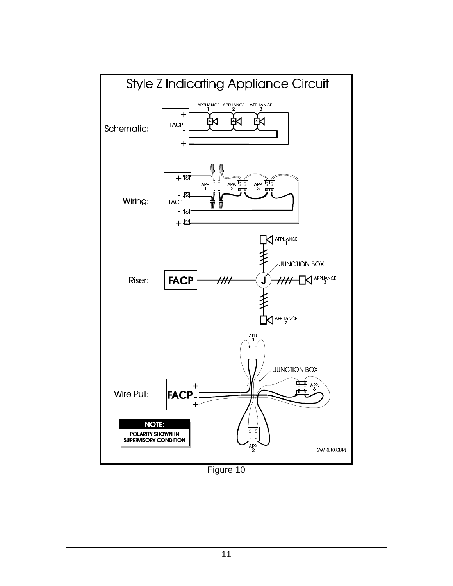

Figure 10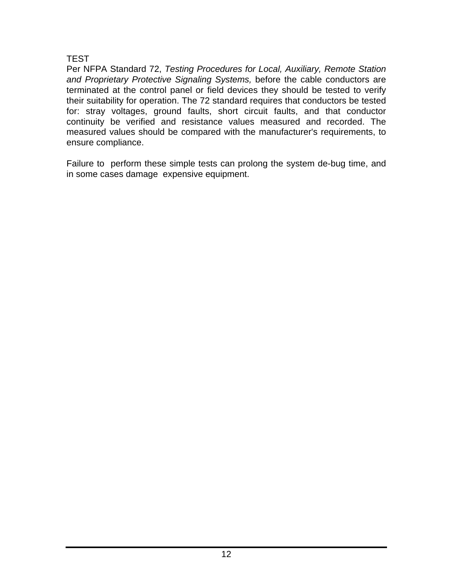### **TEST**

Per NFPA Standard 72, *Testing Procedures for Local, Auxiliary, Remote Station and Proprietary Protective Signaling Systems,* before the cable conductors are terminated at the control panel or field devices they should be tested to verify their suitability for operation. The 72 standard requires that conductors be tested for: stray voltages, ground faults, short circuit faults, and that conductor continuity be verified and resistance values measured and recorded. The measured values should be compared with the manufacturer's requirements, to ensure compliance.

Failure to perform these simple tests can prolong the system de-bug time, and in some cases damage expensive equipment.